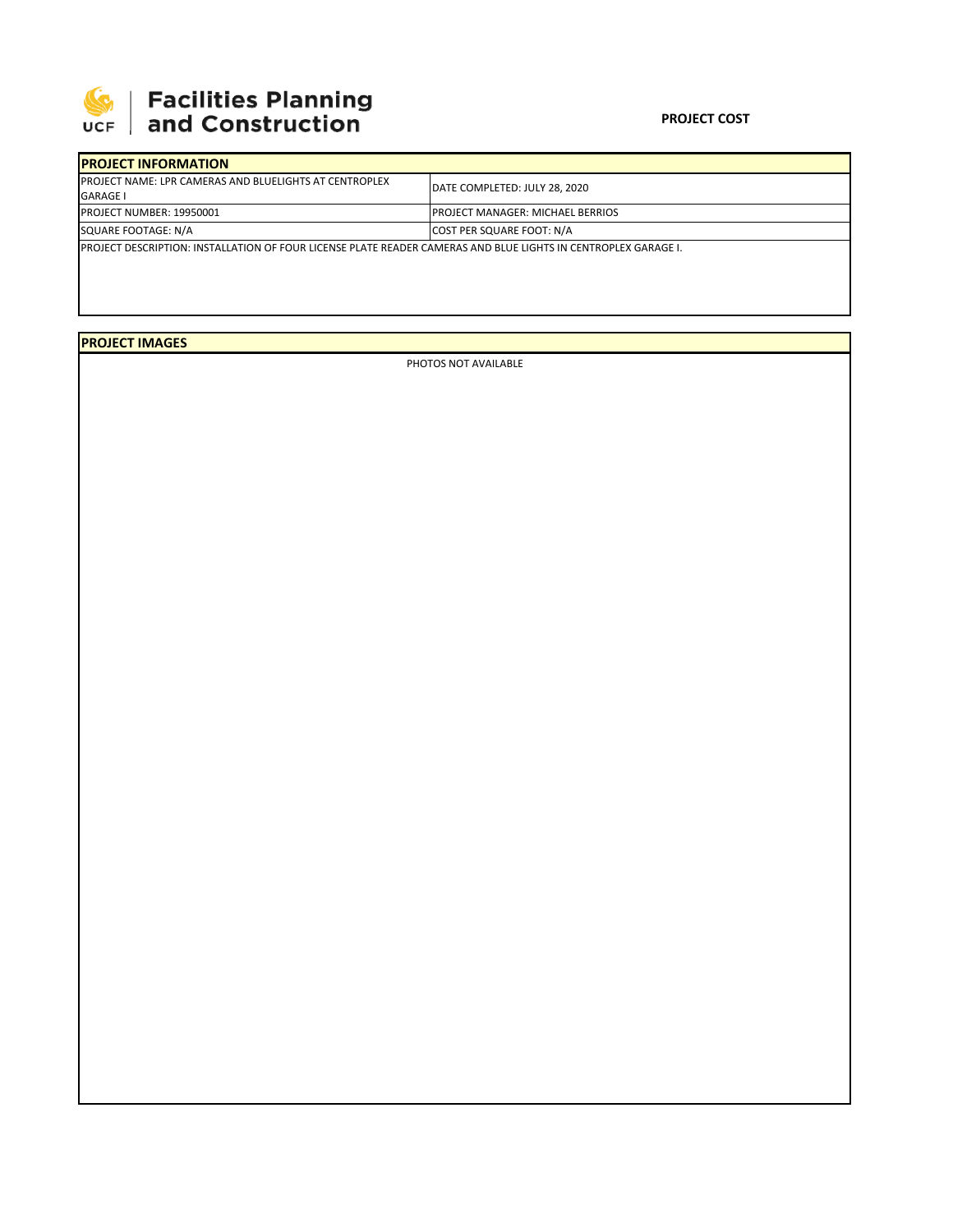

## **SEPTE AND Facilities Planning**<br>UCF and Construction

## **PROJECT COST**

| <b>IPROJECT INFORMATION</b>                                                                                     |                                   |  |  |  |
|-----------------------------------------------------------------------------------------------------------------|-----------------------------------|--|--|--|
| <b>IPROJECT NAME: LPR CAMERAS AND BLUELIGHTS AT CENTROPLEX</b><br><b>GARAGE I</b>                               | DATE COMPLETED: JULY 28, 2020     |  |  |  |
| <b>PROJECT NUMBER: 19950001</b>                                                                                 | IPROJECT MANAGER: MICHAEL BERRIOS |  |  |  |
| SQUARE FOOTAGE: N/A                                                                                             | <b>COST PER SQUARE FOOT: N/A</b>  |  |  |  |
| IPROJECT DESCRIPTION: INSTALLATION OF FOUR LICENSE PLATE READER CAMERAS AND BLUE LIGHTS IN CENTROPLEX GARAGE I. |                                   |  |  |  |

**PROJECT IMAGES**

PHOTOS NOT AVAILABLE